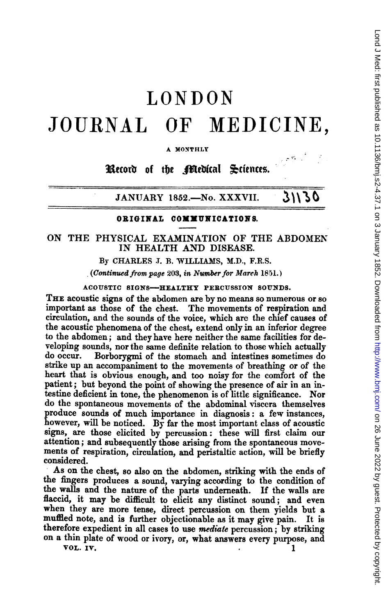# LONDON

# JOURNAL OF MEDICINE,

#### A MONTHLY

Record of the **At**tedical <del>L</del>eiences.

31130 JANUARY 1852.—No. XXXVII.

Lond J Med: first published as 10.11136/bmj.s2-4.37.1 on 3 January 1852. Downloaded from http://www.bmj.com/ on 26 June 2022 by guest. Protected by copyright. on 26 June 2022 by guest. Protected by copyright. <http://www.bmj.com/> Lond J Med: first published as 10.1136/bmj.s2-4.37.1 on 3 January 1852. Downloaded from

#### ORIGINAL COXNUNICATIONS.

### ON THE PHYSICAL EXAMINATION OF THE ABDOMEN IN HEALTH AND DISEASE.

By CHARLES J. B. WILLIAMS, M.D., F.R.S.

(Continued from page 203, in Number for March 1851.)

ACOUSTIC SIGNS-HEALTHY PERCUSSION SOUNDS.

THE acoustic signs of the abdomen are by no means so numerous or so important as those of the chest. The movements of respiration and The movements of respiration and circulation, and the sounds of the voice, which arc the chief causes of the acoustic phenomena of the chest, extend only in an inferior degree to the abdomen; and they have here neither the same facilities for developing sounds, nor the same definite relation to those which actually<br>do occur. Borbory of the stomach and intestines sometimes do Borborygmi of the stomach and intestines sometimes do strike up an accompaniment to the movements of breathing or of the heart that is obvious enough, and too noisy for the comfort of the patient; but beyond the point of showing the presence of air in an intestine deficient in tone, the phenomenon is of little significance. Nor do the spontaneous movements of the abdominal viscera themselves produce sounds of much importance in diagnosis: a few instances, however, will be noticed. By far the most important class of acoustic signs, are those elicited by percussion: these will first claim our attention; and subsequently those arising from the spontaneous movements of respiration, circulation, and peristaltic action, will be briefly considered.

As on the chest, so also on the abdomen, striking with the ends of the fingers produces a sound, varying according to the condition of the walls and the nature of the parts underneath. If the walls are flaccid, it may be difficult to elicit any distinct sound; and even when they are more tense, direct percussion on them yields but a muffled note, and is further objectionable as it may give pain. It is therefore expedient in all cases to use mediate percussion; by striking on a thin plate of wood or ivory, or, what answers every purpose, and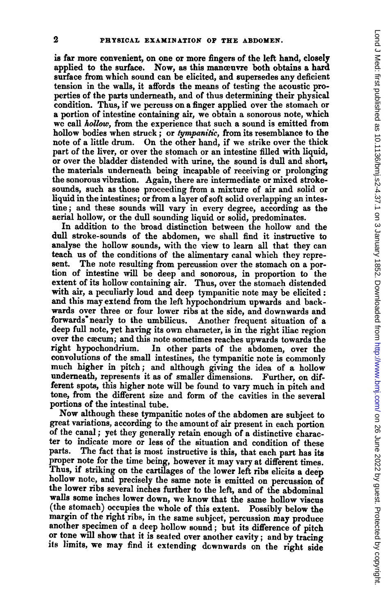is far more convenient, on one or more fingers of the left hand, closely applied to the surface. Now, as this manceuvre both obtains a hard surface from which sound can be elicited, and supersedes any deficient tension in the walls, it affords the means of testing the acoustic properties of the parts underneath, and of thus determining their physical condition. Thus, if we percuss on <sup>a</sup> finger applied over the stomach or a portion of intestine containing air, we obtain a sonorous note, which we call hollow, from the experience that such a sound is emitted from hollow bodies when struck; or tympanitic, from its resemblance to the note of a little drum. On the other hand, if we strike over the thick part of the liver, or over the stomach or an intestine filled with liquid, or over the bladder distended with urine, the sound is dull and short, the materials underneath being incapable of receiving or prolonging the sonorous vibration. Again, there are intermediate or mixed strokesounds, such as those proceeding from a mixture of air and solid or liquid in the intestines; or from a layer of soft solid overlapping an intestine; and these sounds will vary in every degree, according as the aerial hollow, or the dull sounding liquid or solid, predominates.

In addition to the broad distinction between the hollow and the dull stroke-sounds of the abdomen, we shall find it instructive to analyse the hollow sounds, with the view to learn all that they can teach us of the conditions of the alimentary canal which they represent. The note resulting from percussion over the stomach on a por-The note resulting from percussion over the stomach on a portion of intestine will be deep and sonorous, in proportion to the extent of its hollow containing air. Thus, over the stomach distended with air, a peculiarly loud and deep tympanitic note may be elicited: and this may extend from the left hypochondrium upwards and backwards over three or four lower ribs at the side, and downwards and forwards nearly to the umbilicus. Another frequent situation of a forwards nearly to the umbilicus. deep full note, yet having its own character, is in the right iliac region over the cacum; and this note sometimes reaches upwards towards the right hypochondrium. In other parts of the abdomen, over the In other parts of the abdomen, over the convolutions of the small intestines, the tympanitic note is commonly much higher in pitch; and although giving the idea of a hollow underneath, represents it as of smaller dimensions. Further, on different spots, this higher note will be found to vary much in pitch and tone, from the different size and form of the cavities in the several portions of the intestinal tube.

Now although these tympanitic notes of the abdomen are subject to great variations, according to the amount of air present in each portion of the canal; yet they generally retain enough of a distinctive character to indicate more or less of the situation and condition of these parts. The fact that is most instructive is this, that each part has its proper note for the time being, however it may vary at different times. Thus, if striking on the cartilages of the lower left ribs elicits a deep hollow note, and precisely the same note is emitted on percussion of the lower ribs several inches further to the left, and of the abdominal walls some inches lower down, we know that the same hollow viscus (the stomach) occupies the whole of this extent. Possibly below the margin of the right ribs, in the same subject, percussion may produce another specimen of a deep hollow sound; but its difference of pitch or tone will show that it is seated over another cavity; and by tracing its limits, we may find it extending downwards on the right side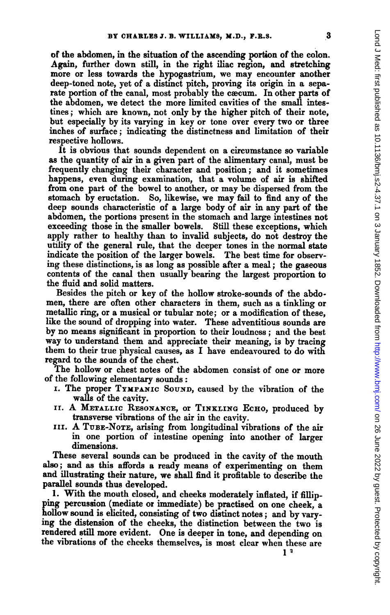of the abdomen, in the situation of the ascending portion of the colon. Again, further down still, in the right iliac region, and stretching more or less towards the hypogastrium, we may encounter another deep-toned note, yet of a distinct pitch, proving its origin in a separate portion of the canal, most probably the cæcum. In other parts of the abdomen, we detect the more limited cavities of the small intestines; which are known, not only by the higher pitch of their note, but especially by its varying in key or tone over every two or three inches of surface; indicating the distinctness and limitation of their respective hollows.

It is obvious that sounds dependent on a circumstance so variable as the quantity of air in a given part of the alimentary canal, must be frequently changing their character and position; and it sometimes happens, even during examination, that a volume of air is shifted from one part of the bowel to another, or may be dispersed from the stomach by eructation. So, likewise, we may fail to find any of the deep sounds characteristic of a large body of air in any part of the abdomen, the portions present in the stomach and large intestines not exceeding those in the smaller bowels. Still these exceptions, which apply rather to healthy than to invalid subjects, do not destroy the utility of the general rule, that the deeper tones in the normal state indicate the position of the larger bowels. The best time for observing these distinctions, is as long as possible after a meal; the gaseous contents of the canal then usually bearing the largest proportion to the fluid and solid matters.

Besides the pitch or key of the hollow stroke-sounds of the abdomen, there are often other characters in them, such as a tinkling or metallic ring, or a musical or tubular note; or a modification of these, like the sound of dropping into water. These adventitious sounds are by no means significant in proportion to their loudness; and the best way to understand them and appreciate their meaning, is by tracing them to their true physical causes, as <sup>I</sup> have endeavoured to do with regard to the sounds of the chest.

The hollow or chest notes of the abdomen consist of one or more of the following elementary sounds:

- i. The proper TYMPANIC SOUND, caused by the vibration of the walls of the cavity.
- II. A METALLIC RESONANCE, or TINKLING ECHO, produced by transverse vibrations of the air in the cavity.
- III. A TUBE-NOTE, arising from longitudinal vibrations of the air in one portion of intestine opening into another of larger dimensions.

These several sounds can be produced in the cavity of the mouth also; and as this affords a ready means of experimenting on them and illustrating their nature, we shall find it profitable to describe the parallel sounds thus developed.

1. With the mouth closed, and cheeks moderately inflated, if fillipping percussion (mediate or immediate) be practised on one cheek, a hollow sound is elicited, consisting of two distinet notes; and by vary img the distension of the cheeks, the distinction between the two is rendered still more evident. One is deeper in tone, and depending on the vibrations of the cheeks themselves, is most clear when these are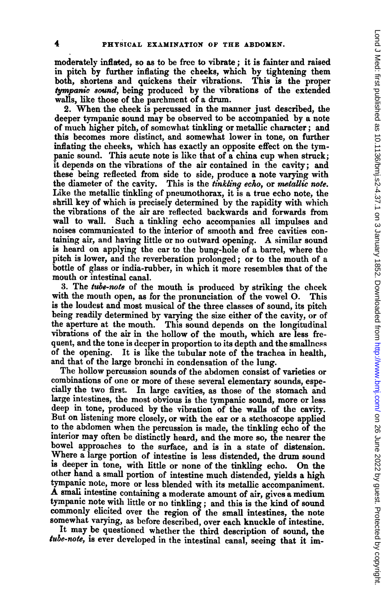moderately inflated, so as to be free to vibrate; it is fainter and raised in pitch by further inflating the cheeks, which by tightening them both, shortens and quickens their vibrations. This is the proper tympanic sound, being produced by the vibrations of the extended walls, like those of the parchment of a drum.

2. When the cheek is percussed in the manner just described, the deeper tympanic sound may be observed to be accompanied by a note of much higher pitch, of somewhat tinkling or metallic character; and this becomes more distinct, and somewhat lower in tone, on further inflating the cheeks, which has exactly an opposite effect on the tym.. panic sound. This acute note is like that of a china cup when struck; it depends on the vibrations of the air contained in the cavity; and these being reflected from side to side, produce a note varying with the diameter of the cavity. This is the tinkling echo, or metallic note. Like the metallic tinkling of pneunothorax, it is a true echo note, the shrill key of which is precisely determined by the rapidity with which the vibrations of the air are reflected backwards and forwards from wall to wall. Such a tinkling echo accompanies all impulses and noises communicated to the interior of smooth and free cavities containing air, and having little or no outward opening. A similar sound is heard on applying the ear to the bung-hole of a barrel, where the pitch is lower, and the reverberation prolonged; or to the mouth of a bottle of glass or india-rubber, in which it more resembles that of the mouth or intestinal canal.

3. The tube-note of the mouth is produced by striking the cheek with the mouth open, as for the pronunciation of the vowel 0. This is the loudest and most musical of the three classes of sound, its pitch being readily determined by varying the size either of the cavity, or of the aperture at the mouth. This sound depends on the longitudinal vibrations of the air in the hollow of the mouth, which are less frequent, and the tone is deeper in proportion to its depth and the smallness of the opening. It is like the tubular note of the trachea in health, and that of the large bronchi in condensation of the lung.

The hollow percussion sounds of the abdomen consist of varieties or combinations of one or more of these several elementary sounds, especially the two first. In large cavities, as those of the stomach and large intestines, the most obvious is the tympanic sound, more or less deep in tone, produced by the vibration of the walls of the cavity. But on listening more closely, or with the ear or a stethoscope applied to the abdomen when the percussion is made, the tinkling echo of the interior may often be distinctly heard, and the more so, the nearer the bowel approaches to the surface, and is in a state of distension. Where <sup>a</sup> large portion of intestine is less distended, the drum sound is deeper in tone, with little or none of the tinkling echo. On the other hand <sup>a</sup> small portion of intestine much distended, yields a high tympanic note, more or less blended with its metallic accompaniment. A small intestine containing <sup>a</sup> moderate amount of air, gives <sup>a</sup> medium tympanic note with little or no tinkling; and this is the kind of sound commonly elicited over the region of the small intestines, the note somewhat varying, as before described, over each knuckle of intestine.

It may be questioned whether the third description of sound, the tube-note, is ever developed in the intestinal canal, seeing that it im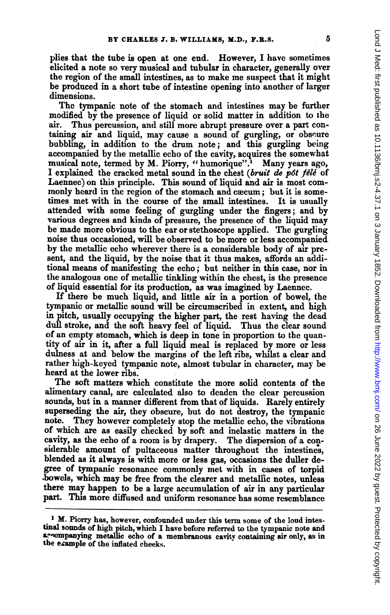plies that the tube is open at one end. However, I have sometimes elicited a note so very musical and tubular in character, generally over the region of the small intestines, as to make me suspect that it might be produced in a short tube of intestine opening into another of larger dimensions.

The tympanic note of the stomach and intestines may be further modified by the presence of liquid or solid matter in addition to the air. Thus percussion, and still more abrupt pressure over a part containing air and liquid, may cause a sound of gurgling, or obsoure bubbling, in addition to the drum note; and this gurgling being accompanied by the metallic echo of the cavity, acquires the somewhat musical note, termed by M. Piorry, "humorique".<sup>1</sup> Many years ago, I explained the cracked metal sound in the chest (bruit de pot fele of Laennec) on this principle. This sound of liquid and air is most commonly heard in the region of the stomach and cacum; but it is sometimes met with in the course of the small intestines. It is usually attended with some feeling of gurgling under the fingers; and by various degrees and kinds of pressure, the presence of the liquid may be made more obvious to the ear or stethoscope applied. The gurgling noise thus occasioned, will be observed to be more or less accompanied. by the metallic echo wherever there is a considerable body of air present, and the liquid, by the noise that it thus makes, affords an additional means of manifesting the echo; but neither in this case, nor in the analogous one of metallic tinkling within the chest, is the presence of liquid essential for its production, as was imagined by Laennec.

If there be much liquid, and little air in a portion of bowel, the tympanic or metallic sound will be circumscribed in extent, and high in pitch, usually occupying the higher part, the rest having the dead dull stroke, and the soft heavy feel of liquid. Thus the clear sound of an empty stomach, which is deep in tone in proportion to the quantity of air in it, after a full liquid meal is replaced by more or less dulness at and below the margins of the left ribs, whilst a clear and rather high-keyed tympanic note, almost tubular in character, may be heard at the lower ribs.

The soft matters which constitute the more solid contents of the alimentary canal, are calculated also to deaden the clear percussion sounds, but in a manner different from that of liquids. Rarely entirely superseding the air, they obscure, but do not destroy, the tympanic note. They however completely stop the metallic echo, the vibrations of which are as easily checked by soft and inelastic matters in the cavity, as the echo of a room is by drapery. The dispersion of a considerable amount of pultaceous matter throughout the intestines, blended as it always is with more or less gas, occasions the duller degree of tympanic resonance commonly met with in cases of torpid -bowels, which may be free from the clearer and metallic notes, unless there may happen to be a large accumulation of air in any particular part. This more diffused and uniform resonance has some resemblance

<sup>I</sup> M. Piorry has, however, confounded under this term some of the loud intestinal sounds of high pitch, which I have before referred to the tympanic note and  $\sim$  companying metallic echo of a membranous cavity containing air only, as in the example of the inflated cheeks.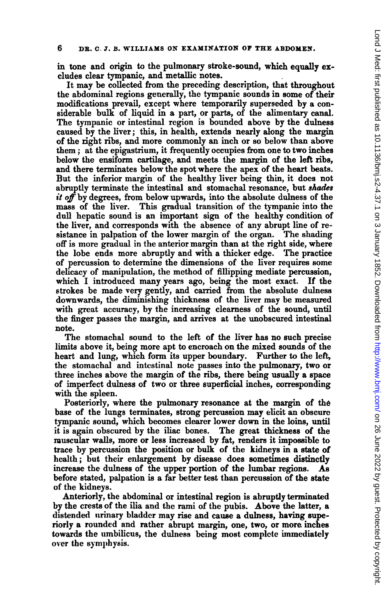in tone and origin to the pulmonary stroke-sound, which equally excludes clear tympanic, and metallic notes.

It may be collected from the preceding description, that throughout the abdominal regions generally, the tympanic sounds in some of their modifications prevail, except where temporarily superseded by a considerable bulk of liquid in a part, or parts, of the alimentary canal. The tympanic or intestinal region is bounded above by the dulness caused by the liver; this, in health, extends nearly along the margin of the right ribs, and more commonly an inch or so below than above them; at the epigastrium, it frequently occupies from one to two inches below the ensiform cartilage, and meets the margin of the left ribs, and there terminates below the spot where the apex of the heart beats. But the inferior margin of the healthy liver being thin, it does not abruptly terminate the intestinal and stomachal resonance, but shades *it off* by degrees, from below upwards, into the absolute dulness of the mass of the liver. This gradual transition of the tympanic into the This gradual transition of the tympanic into the dull hepatic sound is an important sign of the healthy condition of the liver, and corresponds with the absence of any abrupt line of resistance in palpation of the lower margin of the organ. The shading off is more gradual in the anterior margin than at the right side, where the lobe ends more abruptly and with a thicker edge. The practice of percussion to detennine the dimensions of the liver requires some delicacy of manipulation, the method of fillipping mediate percussion, which <sup>I</sup> introduced many years ago, being the most exact. If the strokes be made very gently, and carried from the absolute dulness downwards, the diminishing thickness of the liver may be measured with great accuracy, by the increasing clearness of the sound, until the finger passes the margin, and arrives at the unobscured intestinal note.

The stomachal sound to the left of the liver has no such precise limits above it, being more apt to encroach on the mixed sounds of the heart and lung, which form its upper boundary. Further to the left, the stomachal and intestinal note passes into the pulmonary, two or three inches above the margin of the ribs, there being usually a space of imperfect dulness of two or three superficial inches, corresponding with the spleen.

Posteriorly, where the pulmonary resonance at the margin of the base of the lungs terminates, strong percussion may elicit an obscure tympanic sound, which becomes clearer lower down in the loins, until it is again obscured by the iliac bones. The great thickness of the muscular walls, more or less increased by fat, renders it impossible to trace by percussion the position or bulk of the kidneys in a state of health; but their enlargement by disease does sometimes distinctly increase the dulness of the upper portion of the lumbar regions. As before stated, palpation is a far better test than percussion of the state of the kidneys.

Anteriorly, the abdominal or intestinal region is abruptly terminated by the crests of the ilia and the rami of the pubis. Above the latter, a distended nrinary bladder may rise and cause a dulness, having superiorly a rounded and rather abrupt margin, one, two, or more inches towards the umbilicus, the dulness being most complete immediately over the symphysis.